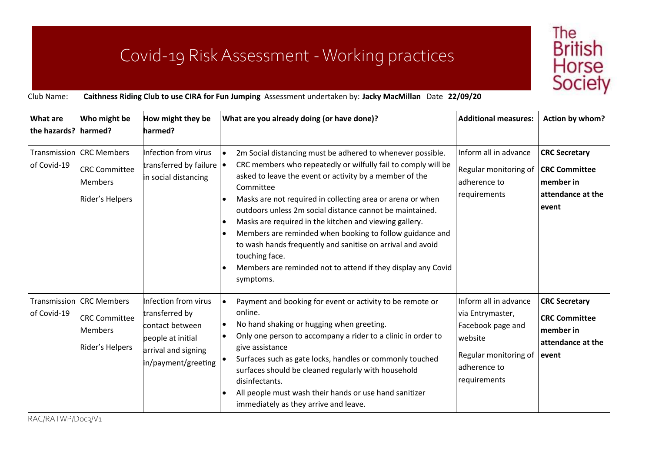## Covid-19 Risk Assessment -Working practices



Club Name: **Caithness Riding Club to use CIRA for Fun Jumping** Assessment undertaken by: **Jacky MacMillan** Date **22/09/20**

| What are<br>the hazards? harmed? | Who might be                                                                            | How might they be<br>harmed?                                                                                                 | What are you already doing (or have done)?                                                                                                                                                                                                                                                                                                                                                                                                                                                                                                                                                                                                              | <b>Additional measures:</b>                                                                                                        | Action by whom?                                                                         |
|----------------------------------|-----------------------------------------------------------------------------------------|------------------------------------------------------------------------------------------------------------------------------|---------------------------------------------------------------------------------------------------------------------------------------------------------------------------------------------------------------------------------------------------------------------------------------------------------------------------------------------------------------------------------------------------------------------------------------------------------------------------------------------------------------------------------------------------------------------------------------------------------------------------------------------------------|------------------------------------------------------------------------------------------------------------------------------------|-----------------------------------------------------------------------------------------|
| of Covid-19                      | Transmission   CRC Members<br><b>CRC Committee</b><br><b>Members</b><br>Rider's Helpers | Infection from virus<br>transferred by failure $\vert \bullet \vert$<br>in social distancing                                 | 2m Social distancing must be adhered to whenever possible.<br>CRC members who repeatedly or wilfully fail to comply will be<br>asked to leave the event or activity by a member of the<br>Committee<br>Masks are not required in collecting area or arena or when<br>$\bullet$<br>outdoors unless 2m social distance cannot be maintained.<br>Masks are required in the kitchen and viewing gallery.<br>$\bullet$<br>Members are reminded when booking to follow guidance and<br>$\bullet$<br>to wash hands frequently and sanitise on arrival and avoid<br>touching face.<br>Members are reminded not to attend if they display any Covid<br>symptoms. | Inform all in advance<br>Regular monitoring of<br>adherence to<br>requirements                                                     | <b>CRC Secretary</b><br><b>CRC Committee</b><br>member in<br>attendance at the<br>event |
| of Covid-19                      | Transmission CRC Members<br><b>CRC Committee</b><br><b>Members</b><br>Rider's Helpers   | Infection from virus<br>transferred by<br>contact between<br>people at initial<br>arrival and signing<br>in/payment/greeting | Payment and booking for event or activity to be remote or<br>$\bullet$<br>online.<br>No hand shaking or hugging when greeting.<br>Only one person to accompany a rider to a clinic in order to<br>give assistance<br>Surfaces such as gate locks, handles or commonly touched<br>surfaces should be cleaned regularly with household<br>disinfectants.<br>All people must wash their hands or use hand sanitizer<br>immediately as they arrive and leave.                                                                                                                                                                                               | Inform all in advance<br>via Entrymaster,<br>Facebook page and<br>website<br>Regular monitoring of<br>adherence to<br>requirements | <b>CRC Secretary</b><br><b>CRC Committee</b><br>member in<br>attendance at the<br>event |

RAC/RATWP/Doc3/V1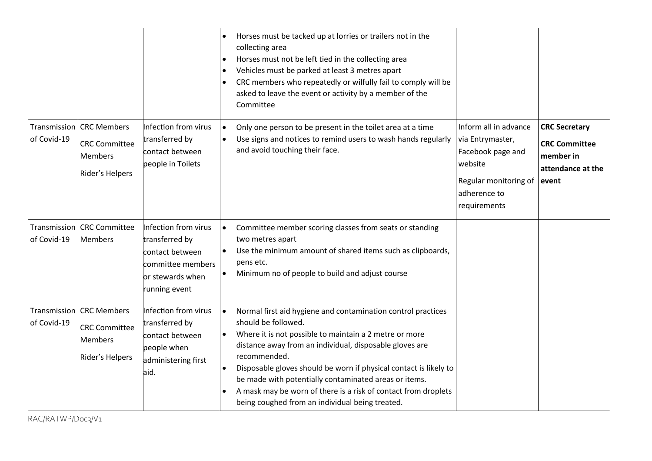|             |                                                                                         |                                                                                                                     | Horses must be tacked up at lorries or trailers not in the<br>$\bullet$<br>collecting area<br>Horses must not be left tied in the collecting area<br>$\bullet$<br>Vehicles must be parked at least 3 metres apart<br>$\bullet$<br>CRC members who repeatedly or wilfully fail to comply will be<br>$\bullet$<br>asked to leave the event or activity by a member of the<br>Committee                                                                                                                  |                                                                                                                                    |                                                                                         |
|-------------|-----------------------------------------------------------------------------------------|---------------------------------------------------------------------------------------------------------------------|-------------------------------------------------------------------------------------------------------------------------------------------------------------------------------------------------------------------------------------------------------------------------------------------------------------------------------------------------------------------------------------------------------------------------------------------------------------------------------------------------------|------------------------------------------------------------------------------------------------------------------------------------|-----------------------------------------------------------------------------------------|
| of Covid-19 | Transmission   CRC Members<br><b>CRC Committee</b><br><b>Members</b><br>Rider's Helpers | Infection from virus<br>transferred by<br>contact between<br>people in Toilets                                      | Only one person to be present in the toilet area at a time<br>$\bullet$<br>Use signs and notices to remind users to wash hands regularly<br>and avoid touching their face.                                                                                                                                                                                                                                                                                                                            | Inform all in advance<br>via Entrymaster,<br>Facebook page and<br>website<br>Regular monitoring of<br>adherence to<br>requirements | <b>CRC Secretary</b><br><b>CRC Committee</b><br>member in<br>attendance at the<br>event |
| of Covid-19 | Transmission CRC Committee<br>Members                                                   | Infection from virus<br>transferred by<br>contact between<br>committee members<br>or stewards when<br>running event | Committee member scoring classes from seats or standing<br>$\bullet$<br>two metres apart<br>Use the minimum amount of shared items such as clipboards,<br>pens etc.<br>Minimum no of people to build and adjust course                                                                                                                                                                                                                                                                                |                                                                                                                                    |                                                                                         |
| of Covid-19 | Transmission   CRC Members<br><b>CRC Committee</b><br><b>Members</b><br>Rider's Helpers | Infection from virus<br>transferred by<br>contact between<br>people when<br>administering first<br>aid.             | Normal first aid hygiene and contamination control practices<br>$\bullet$<br>should be followed.<br>Where it is not possible to maintain a 2 metre or more<br>distance away from an individual, disposable gloves are<br>recommended.<br>Disposable gloves should be worn if physical contact is likely to<br>$\bullet$<br>be made with potentially contaminated areas or items.<br>A mask may be worn of there is a risk of contact from droplets<br>being coughed from an individual being treated. |                                                                                                                                    |                                                                                         |

RAC/RATWP/Doc3/V1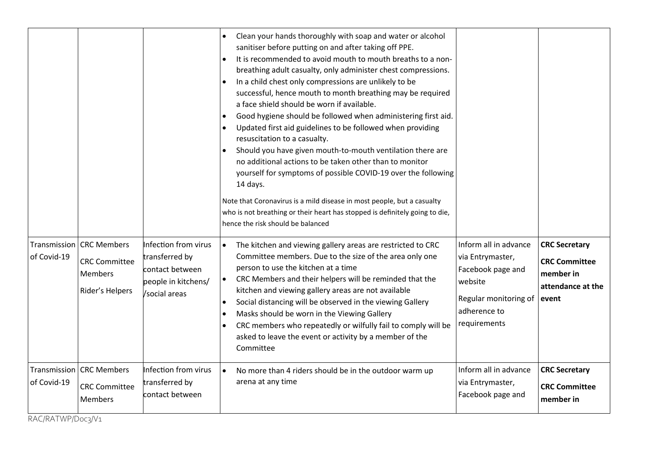| of Covid-19                 | Transmission CRC Members<br><b>CRC Committee</b><br><b>Members</b><br>Rider's Helpers | Infection from virus<br>transferred by<br>contact between<br>people in kitchens/<br>/social areas | Clean your hands thoroughly with soap and water or alcohol<br>sanitiser before putting on and after taking off PPE.<br>It is recommended to avoid mouth to mouth breaths to a non-<br>breathing adult casualty, only administer chest compressions.<br>In a child chest only compressions are unlikely to be<br>$\bullet$<br>successful, hence mouth to month breathing may be required<br>a face shield should be worn if available.<br>Good hygiene should be followed when administering first aid.<br>$\bullet$<br>Updated first aid guidelines to be followed when providing<br>resuscitation to a casualty.<br>Should you have given mouth-to-mouth ventilation there are<br>no additional actions to be taken other than to monitor<br>yourself for symptoms of possible COVID-19 over the following<br>14 days.<br>Note that Coronavirus is a mild disease in most people, but a casualty<br>who is not breathing or their heart has stopped is definitely going to die,<br>hence the risk should be balanced<br>The kitchen and viewing gallery areas are restricted to CRC<br>$\bullet$<br>Committee members. Due to the size of the area only one<br>person to use the kitchen at a time<br>CRC Members and their helpers will be reminded that the<br>$\bullet$<br>kitchen and viewing gallery areas are not available<br>Social distancing will be observed in the viewing Gallery<br>$\bullet$<br>Masks should be worn in the Viewing Gallery | Inform all in advance<br>via Entrymaster,<br>Facebook page and<br>website<br>Regular monitoring of<br>adherence to | <b>CRC Secretary</b><br><b>CRC Committee</b><br>member in<br>attendance at the<br>event |
|-----------------------------|---------------------------------------------------------------------------------------|---------------------------------------------------------------------------------------------------|-------------------------------------------------------------------------------------------------------------------------------------------------------------------------------------------------------------------------------------------------------------------------------------------------------------------------------------------------------------------------------------------------------------------------------------------------------------------------------------------------------------------------------------------------------------------------------------------------------------------------------------------------------------------------------------------------------------------------------------------------------------------------------------------------------------------------------------------------------------------------------------------------------------------------------------------------------------------------------------------------------------------------------------------------------------------------------------------------------------------------------------------------------------------------------------------------------------------------------------------------------------------------------------------------------------------------------------------------------------------------------------------------------------------------------------------------------------|--------------------------------------------------------------------------------------------------------------------|-----------------------------------------------------------------------------------------|
|                             |                                                                                       |                                                                                                   | CRC members who repeatedly or wilfully fail to comply will be<br>$\bullet$<br>asked to leave the event or activity by a member of the<br>Committee                                                                                                                                                                                                                                                                                                                                                                                                                                                                                                                                                                                                                                                                                                                                                                                                                                                                                                                                                                                                                                                                                                                                                                                                                                                                                                          | requirements                                                                                                       |                                                                                         |
| Transmission<br>of Covid-19 | <b>CRC Members</b><br><b>CRC Committee</b><br><b>Members</b>                          | Infection from virus<br>transferred by<br>contact between                                         | No more than 4 riders should be in the outdoor warm up<br>$\bullet$<br>arena at any time                                                                                                                                                                                                                                                                                                                                                                                                                                                                                                                                                                                                                                                                                                                                                                                                                                                                                                                                                                                                                                                                                                                                                                                                                                                                                                                                                                    | Inform all in advance<br>via Entrymaster,<br>Facebook page and                                                     | <b>CRC Secretary</b><br><b>CRC Committee</b><br>member in                               |
|                             |                                                                                       |                                                                                                   |                                                                                                                                                                                                                                                                                                                                                                                                                                                                                                                                                                                                                                                                                                                                                                                                                                                                                                                                                                                                                                                                                                                                                                                                                                                                                                                                                                                                                                                             |                                                                                                                    |                                                                                         |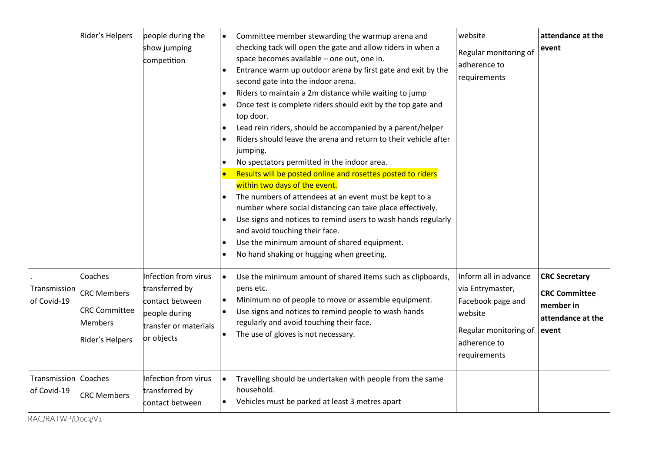|                                       | Rider's Helpers                                                                            | people during the<br>show jumping<br>competition                                                                  | Committee member stewarding the warmup arena and<br>$\bullet$<br>checking tack will open the gate and allow riders in when a<br>space becomes available - one out, one in.<br>Entrance warm up outdoor arena by first gate and exit by the<br>second gate into the indoor arena.<br>Riders to maintain a 2m distance while waiting to jump<br>$\bullet$<br>Once test is complete riders should exit by the top gate and<br>top door.<br>Lead rein riders, should be accompanied by a parent/helper<br>$\bullet$<br>Riders should leave the arena and return to their vehicle after<br>$\bullet$<br>jumping.<br>No spectators permitted in the indoor area.<br>Results will be posted online and rosettes posted to riders<br>within two days of the event.<br>The numbers of attendees at an event must be kept to a<br>number where social distancing can take place effectively.<br>Use signs and notices to remind users to wash hands regularly<br>$\bullet$<br>and avoid touching their face.<br>Use the minimum amount of shared equipment.<br>$\bullet$<br>No hand shaking or hugging when greeting.<br>٠ | website<br>Regular monitoring of<br>adherence to<br>requirements                                                                   | attendance at the<br>event                                                              |
|---------------------------------------|--------------------------------------------------------------------------------------------|-------------------------------------------------------------------------------------------------------------------|------------------------------------------------------------------------------------------------------------------------------------------------------------------------------------------------------------------------------------------------------------------------------------------------------------------------------------------------------------------------------------------------------------------------------------------------------------------------------------------------------------------------------------------------------------------------------------------------------------------------------------------------------------------------------------------------------------------------------------------------------------------------------------------------------------------------------------------------------------------------------------------------------------------------------------------------------------------------------------------------------------------------------------------------------------------------------------------------------------------|------------------------------------------------------------------------------------------------------------------------------------|-----------------------------------------------------------------------------------------|
| Transmission<br>of Covid-19           | Coaches<br><b>CRC Members</b><br><b>CRC Committee</b><br><b>Members</b><br>Rider's Helpers | Infection from virus<br>transferred by<br>contact between<br>people during<br>transfer or materials<br>or objects | Use the minimum amount of shared items such as clipboards,<br>$\bullet$<br>pens etc.<br>Minimum no of people to move or assemble equipment.<br>Use signs and notices to remind people to wash hands<br>regularly and avoid touching their face.<br>The use of gloves is not necessary.<br>$\bullet$                                                                                                                                                                                                                                                                                                                                                                                                                                                                                                                                                                                                                                                                                                                                                                                                              | Inform all in advance<br>via Entrymaster,<br>Facebook page and<br>website<br>Regular monitoring of<br>adherence to<br>requirements | <b>CRC Secretary</b><br><b>CRC Committee</b><br>member in<br>attendance at the<br>event |
| Transmission   Coaches<br>of Covid-19 | <b>CRC Members</b>                                                                         | Infection from virus<br>transferred by<br>contact between                                                         | Travelling should be undertaken with people from the same<br>$\bullet$<br>household.<br>Vehicles must be parked at least 3 metres apart                                                                                                                                                                                                                                                                                                                                                                                                                                                                                                                                                                                                                                                                                                                                                                                                                                                                                                                                                                          |                                                                                                                                    |                                                                                         |

RAC/RATWP/Doc3/V1